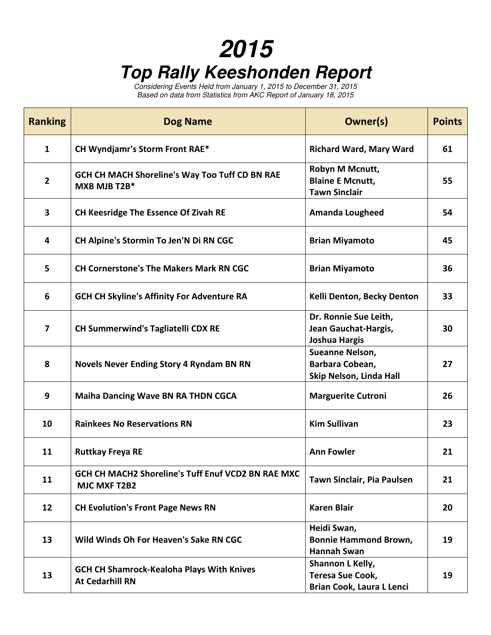## **2015 Top Rally Keeshonden Report**

Considering Events Held from January 1, 2015 to December 31, 2015 Based on data from Statistics from AKC Report of January 18, 2015

| <b>Ranking</b> | <b>Dog Name</b>                                                            | Owner(s)                                                                 | <b>Points</b> |
|----------------|----------------------------------------------------------------------------|--------------------------------------------------------------------------|---------------|
| $\mathbf{1}$   | <b>CH Wyndjamr's Storm Front RAE*</b>                                      | <b>Richard Ward, Mary Ward</b>                                           | 61            |
| $\overline{2}$ | <b>GCH CH MACH Shoreline's Way Too Tuff CD BN RAE</b><br>MXB MJB T2B*      | Robyn M Mcnutt,<br><b>Blaine E Mcnutt,</b><br><b>Tawn Sinclair</b>       | 55            |
| 3              | <b>CH Keesridge The Essence Of Zivah RE</b>                                | <b>Amanda Lougheed</b>                                                   | 54            |
| 4              | <b>CH Alpine's Stormin To Jen'N Di RN CGC</b>                              | <b>Brian Miyamoto</b>                                                    | 45            |
| 5              | <b>CH Cornerstone's The Makers Mark RN CGC</b>                             | <b>Brian Miyamoto</b>                                                    | 36            |
| 6              | <b>GCH CH Skyline's Affinity For Adventure RA</b>                          | Kelli Denton, Becky Denton                                               | 33            |
| $\overline{7}$ | <b>CH Summerwind's Tagliatelli CDX RE</b>                                  | Dr. Ronnie Sue Leith,<br>Jean Gauchat-Hargis,<br><b>Joshua Hargis</b>    | 30            |
| 8              | <b>Novels Never Ending Story 4 Ryndam BN RN</b>                            | Sueanne Nelson,<br>Barbara Cobean,<br>Skip Nelson, Linda Hall            | 27            |
| 9              | <b>Maiha Dancing Wave BN RA THDN CGCA</b>                                  | <b>Marguerite Cutroni</b>                                                | 26            |
| 10             | <b>Rainkees No Reservations RN</b>                                         | <b>Kim Sullivan</b>                                                      | 23            |
| 11             | <b>Ruttkay Freya RE</b>                                                    | <b>Ann Fowler</b>                                                        | 21            |
| 11             | GCH CH MACH2 Shoreline's Tuff Enuf VCD2 BN RAE MXC<br><b>MJC MXF T2B2</b>  | Tawn Sinclair, Pia Paulsen                                               | 21            |
| 12             | <b>CH Evolution's Front Page News RN</b>                                   | <b>Karen Blair</b>                                                       | 20            |
| 13             | Wild Winds Oh For Heaven's Sake RN CGC                                     | Heidi Swan,<br><b>Bonnie Hammond Brown,</b><br><b>Hannah Swan</b>        | 19            |
| 13             | <b>GCH CH Shamrock-Kealoha Plays With Knives</b><br><b>At Cedarhill RN</b> | Shannon L Kelly,<br><b>Teresa Sue Cook,</b><br>Brian Cook, Laura L Lenci | 19            |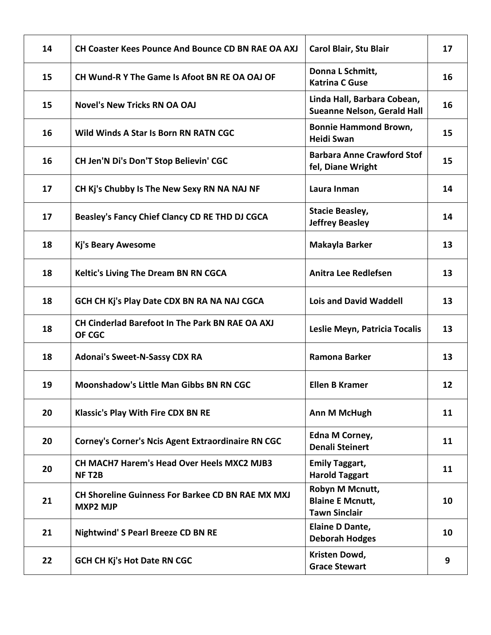| 14 | <b>CH Coaster Kees Pounce And Bounce CD BN RAE OA AXJ</b>               | <b>Carol Blair, Stu Blair</b>                                      | 17 |
|----|-------------------------------------------------------------------------|--------------------------------------------------------------------|----|
| 15 | CH Wund-R Y The Game Is Afoot BN RE OA OAJ OF                           | Donna L Schmitt,<br><b>Katrina C Guse</b>                          | 16 |
| 15 | <b>Novel's New Tricks RN OA OAJ</b>                                     | Linda Hall, Barbara Cobean,<br><b>Sueanne Nelson, Gerald Hall</b>  | 16 |
| 16 | Wild Winds A Star Is Born RN RATN CGC                                   | <b>Bonnie Hammond Brown,</b><br><b>Heidi Swan</b>                  | 15 |
| 16 | <b>CH Jen'N Di's Don'T Stop Believin' CGC</b>                           | <b>Barbara Anne Crawford Stof</b><br>fel, Diane Wright             | 15 |
| 17 | CH Kj's Chubby Is The New Sexy RN NA NAJ NF                             | Laura Inman                                                        | 14 |
| 17 | Beasley's Fancy Chief Clancy CD RE THD DJ CGCA                          | <b>Stacie Beasley,</b><br><b>Jeffrey Beasley</b>                   | 14 |
| 18 | Kj's Beary Awesome                                                      | Makayla Barker                                                     | 13 |
| 18 | <b>Keltic's Living The Dream BN RN CGCA</b>                             | Anitra Lee Redlefsen                                               | 13 |
| 18 | GCH CH Kj's Play Date CDX BN RA NA NAJ CGCA                             | <b>Lois and David Waddell</b>                                      | 13 |
| 18 | <b>CH Cinderlad Barefoot In The Park BN RAE OA AXJ</b><br><b>OF CGC</b> | Leslie Meyn, Patricia Tocalis                                      | 13 |
| 18 | <b>Adonai's Sweet-N-Sassy CDX RA</b>                                    | Ramona Barker                                                      | 13 |
| 19 | Moonshadow's Little Man Gibbs BN RN CGC                                 | <b>Ellen B Kramer</b>                                              | 12 |
| 20 | <b>Klassic's Play With Fire CDX BN RE</b>                               | Ann M McHugh                                                       | 11 |
| 20 | Corney's Corner's Ncis Agent Extraordinaire RN CGC                      | Edna M Corney,<br><b>Denali Steinert</b>                           | 11 |
| 20 | <b>CH MACH7 Harem's Head Over Heels MXC2 MJB3</b><br><b>NFT2B</b>       | <b>Emily Taggart,</b><br><b>Harold Taggart</b>                     | 11 |
| 21 | CH Shoreline Guinness For Barkee CD BN RAE MX MXJ<br><b>MXP2 MJP</b>    | Robyn M Mcnutt,<br><b>Blaine E Mcnutt,</b><br><b>Tawn Sinclair</b> | 10 |
| 21 | <b>Nightwind' S Pearl Breeze CD BN RE</b>                               | Elaine D Dante,<br><b>Deborah Hodges</b>                           | 10 |
| 22 | <b>GCH CH Kj's Hot Date RN CGC</b>                                      | Kristen Dowd,<br><b>Grace Stewart</b>                              | 9  |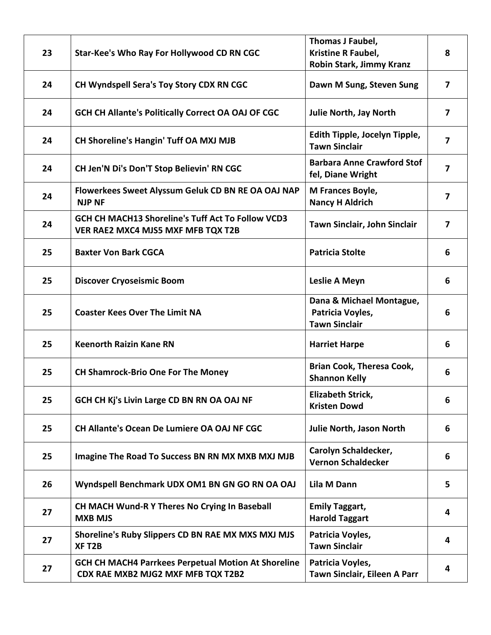| 23 | Star-Kee's Who Ray For Hollywood CD RN CGC                                                       | Thomas J Faubel,<br>Kristine R Faubel,<br>Robin Stark, Jimmy Kranz   | 8              |
|----|--------------------------------------------------------------------------------------------------|----------------------------------------------------------------------|----------------|
| 24 | CH Wyndspell Sera's Toy Story CDX RN CGC                                                         | Dawn M Sung, Steven Sung                                             | 7              |
| 24 | GCH CH Allante's Politically Correct OA OAJ OF CGC                                               | <b>Julie North, Jay North</b>                                        | $\overline{7}$ |
| 24 | CH Shoreline's Hangin' Tuff OA MXJ MJB                                                           | Edith Tipple, Jocelyn Tipple,<br><b>Tawn Sinclair</b>                | $\overline{7}$ |
| 24 | CH Jen'N Di's Don'T Stop Believin' RN CGC                                                        | <b>Barbara Anne Crawford Stof</b><br>fel, Diane Wright               | $\overline{7}$ |
| 24 | Flowerkees Sweet Alyssum Geluk CD BN RE OA OAJ NAP<br><b>NJP NF</b>                              | M Frances Boyle,<br><b>Nancy H Aldrich</b>                           | 7              |
| 24 | GCH CH MACH13 Shoreline's Tuff Act To Follow VCD3<br>VER RAE2 MXC4 MJS5 MXF MFB TQX T2B          | Tawn Sinclair, John Sinclair                                         | 7              |
| 25 | <b>Baxter Von Bark CGCA</b>                                                                      | <b>Patricia Stolte</b>                                               | 6              |
| 25 | <b>Discover Cryoseismic Boom</b>                                                                 | Leslie A Meyn                                                        | 6              |
| 25 | <b>Coaster Kees Over The Limit NA</b>                                                            | Dana & Michael Montague,<br>Patricia Voyles,<br><b>Tawn Sinclair</b> | 6              |
| 25 | <b>Keenorth Raizin Kane RN</b>                                                                   | <b>Harriet Harpe</b>                                                 | 6              |
| 25 | <b>CH Shamrock-Brio One For The Money</b>                                                        | Brian Cook, Theresa Cook,<br><b>Shannon Kelly</b>                    | 6              |
| 25 | GCH CH Kj's Livin Large CD BN RN OA OAJ NF                                                       | Elizabeth Strick,<br><b>Kristen Dowd</b>                             | 6              |
| 25 | CH Allante's Ocean De Lumiere OA OAJ NF CGC                                                      | <b>Julie North, Jason North</b>                                      | 6              |
| 25 | Imagine The Road To Success BN RN MX MXB MXJ MJB                                                 | Carolyn Schaldecker,<br><b>Vernon Schaldecker</b>                    | 6              |
| 26 | Wyndspell Benchmark UDX OM1 BN GN GO RN OA OAJ                                                   | Lila M Dann                                                          | 5              |
| 27 | CH MACH Wund-R Y Theres No Crying In Baseball<br><b>MXB MJS</b>                                  | <b>Emily Taggart,</b><br><b>Harold Taggart</b>                       | 4              |
| 27 | Shoreline's Ruby Slippers CD BN RAE MX MXS MXJ MJS<br>XF T2B                                     | Patricia Voyles,<br><b>Tawn Sinclair</b>                             | 4              |
| 27 | <b>GCH CH MACH4 Parrkees Perpetual Motion At Shoreline</b><br>CDX RAE MXB2 MJG2 MXF MFB TQX T2B2 | Patricia Voyles,<br>Tawn Sinclair, Eileen A Parr                     | 4              |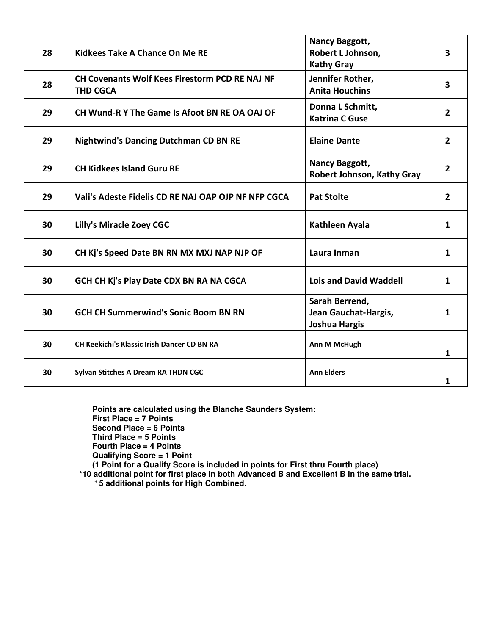| 28 | <b>Kidkees Take A Chance On Me RE</b>                                    | Nancy Baggott,<br>Robert L Johnson,<br><b>Kathy Gray</b>       | $\overline{\mathbf{3}}$ |
|----|--------------------------------------------------------------------------|----------------------------------------------------------------|-------------------------|
| 28 | <b>CH Covenants Wolf Kees Firestorm PCD RE NAJ NF</b><br><b>THD CGCA</b> | Jennifer Rother,<br><b>Anita Houchins</b>                      | 3                       |
| 29 | CH Wund-R Y The Game Is Afoot BN RE OA OAJ OF                            | Donna L Schmitt,<br><b>Katrina C Guse</b>                      | $\overline{2}$          |
| 29 | <b>Nightwind's Dancing Dutchman CD BN RE</b>                             | <b>Elaine Dante</b>                                            | $\overline{2}$          |
| 29 | <b>CH Kidkees Island Guru RE</b>                                         | Nancy Baggott,<br>Robert Johnson, Kathy Gray                   | $\overline{2}$          |
| 29 | Vali's Adeste Fidelis CD RE NAJ OAP OJP NF NFP CGCA                      | <b>Pat Stolte</b>                                              | $\overline{2}$          |
| 30 | <b>Lilly's Miracle Zoey CGC</b>                                          | Kathleen Ayala                                                 | $\mathbf{1}$            |
| 30 | CH Kj's Speed Date BN RN MX MXJ NAP NJP OF                               | Laura Inman                                                    | $\mathbf{1}$            |
| 30 | GCH CH Kj's Play Date CDX BN RA NA CGCA                                  | <b>Lois and David Waddell</b>                                  | $\mathbf{1}$            |
| 30 | <b>GCH CH Summerwind's Sonic Boom BN RN</b>                              | Sarah Berrend,<br>Jean Gauchat-Hargis,<br><b>Joshua Hargis</b> | 1                       |
| 30 | CH Keekichi's Klassic Irish Dancer CD BN RA                              | Ann M McHugh                                                   | $\mathbf{1}$            |
| 30 | Sylvan Stitches A Dream RA THDN CGC                                      | <b>Ann Elders</b>                                              | $\mathbf{1}$            |

**Points are calculated using the Blanche Saunders System: First Place = 7 Points Second Place = 6 Points Third Place = 5 Points Fourth Place = 4 Points Qualifying Score = 1 Point (1 Point for a Qualify Score is included in points for First thru Fourth place) \*10 additional point for first place in both Advanced B and Excellent B in the same trial.** 

**+ 5 additional points for High Combined.**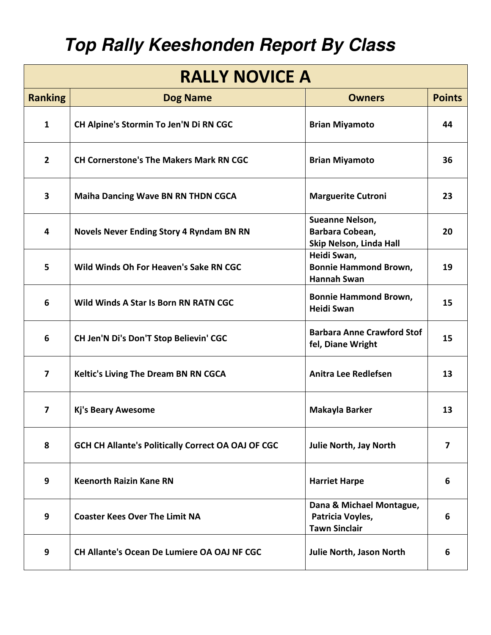## **Top Rally Keeshonden Report By Class**

| <b>RALLY NOVICE A</b> |                                                           |                                                                      |               |
|-----------------------|-----------------------------------------------------------|----------------------------------------------------------------------|---------------|
| <b>Ranking</b>        | <b>Dog Name</b>                                           | <b>Owners</b>                                                        | <b>Points</b> |
| $\mathbf{1}$          | CH Alpine's Stormin To Jen'N Di RN CGC                    | <b>Brian Miyamoto</b>                                                | 44            |
| $\overline{2}$        | <b>CH Cornerstone's The Makers Mark RN CGC</b>            | <b>Brian Miyamoto</b>                                                | 36            |
| $\mathbf{3}$          | <b>Maiha Dancing Wave BN RN THDN CGCA</b>                 | <b>Marguerite Cutroni</b>                                            | 23            |
| 4                     | <b>Novels Never Ending Story 4 Ryndam BN RN</b>           | Sueanne Nelson,<br>Barbara Cobean,<br>Skip Nelson, Linda Hall        | 20            |
| 5                     | Wild Winds Oh For Heaven's Sake RN CGC                    | Heidi Swan,<br><b>Bonnie Hammond Brown,</b><br><b>Hannah Swan</b>    | 19            |
| 6                     | Wild Winds A Star Is Born RN RATN CGC                     | <b>Bonnie Hammond Brown,</b><br><b>Heidi Swan</b>                    | 15            |
| 6                     | CH Jen'N Di's Don'T Stop Believin' CGC                    | <b>Barbara Anne Crawford Stof</b><br>fel, Diane Wright               | 15            |
| $\overline{7}$        | Keltic's Living The Dream BN RN CGCA                      | Anitra Lee Redlefsen                                                 | 13            |
| 7                     | Kj's Beary Awesome                                        | Makayla Barker                                                       | 13            |
| 8                     | <b>GCH CH Allante's Politically Correct OA OAJ OF CGC</b> | <b>Julie North, Jay North</b>                                        | 7             |
| 9                     | <b>Keenorth Raizin Kane RN</b>                            | <b>Harriet Harpe</b>                                                 | 6             |
| 9                     | <b>Coaster Kees Over The Limit NA</b>                     | Dana & Michael Montague,<br>Patricia Voyles,<br><b>Tawn Sinclair</b> | 6             |
| 9                     | CH Allante's Ocean De Lumiere OA OAJ NF CGC               | <b>Julie North, Jason North</b>                                      | 6             |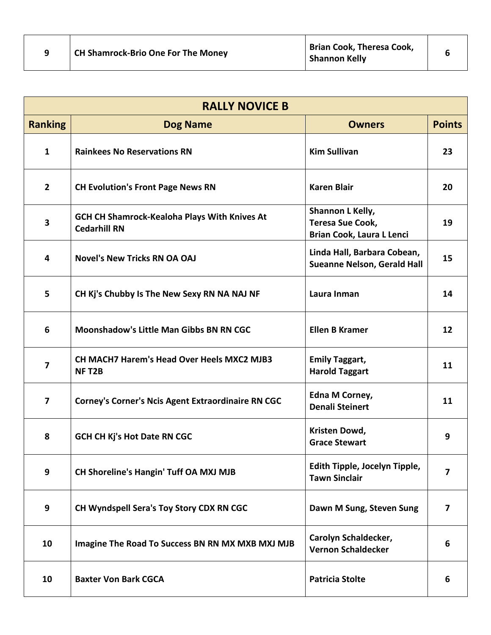| <b>RALLY NOVICE B</b>   |                                                                            |                                                                          |                |
|-------------------------|----------------------------------------------------------------------------|--------------------------------------------------------------------------|----------------|
| <b>Ranking</b>          | <b>Dog Name</b>                                                            | <b>Owners</b>                                                            | <b>Points</b>  |
| $\mathbf{1}$            | <b>Rainkees No Reservations RN</b>                                         | <b>Kim Sullivan</b>                                                      | 23             |
| $\overline{2}$          | <b>CH Evolution's Front Page News RN</b>                                   | <b>Karen Blair</b>                                                       | 20             |
| 3                       | <b>GCH CH Shamrock-Kealoha Plays With Knives At</b><br><b>Cedarhill RN</b> | Shannon L Kelly,<br><b>Teresa Sue Cook,</b><br>Brian Cook, Laura L Lenci | 19             |
| 4                       | <b>Novel's New Tricks RN OA OAJ</b>                                        | Linda Hall, Barbara Cobean,<br><b>Sueanne Nelson, Gerald Hall</b>        | 15             |
| 5                       | CH Kj's Chubby Is The New Sexy RN NA NAJ NF                                | Laura Inman                                                              | 14             |
| 6                       | <b>Moonshadow's Little Man Gibbs BN RN CGC</b>                             | <b>Ellen B Kramer</b>                                                    | 12             |
| $\overline{\mathbf{z}}$ | <b>CH MACH7 Harem's Head Over Heels MXC2 MJB3</b><br><b>NFT2B</b>          | <b>Emily Taggart,</b><br><b>Harold Taggart</b>                           | 11             |
| $\overline{\mathbf{z}}$ | Corney's Corner's Ncis Agent Extraordinaire RN CGC                         | Edna M Corney,<br><b>Denali Steinert</b>                                 | 11             |
| 8                       | <b>GCH CH Kj's Hot Date RN CGC</b>                                         | Kristen Dowd,<br><b>Grace Stewart</b>                                    | 9              |
| 9                       | CH Shoreline's Hangin' Tuff OA MXJ MJB                                     | Edith Tipple, Jocelyn Tipple,<br><b>Tawn Sinclair</b>                    | 7              |
| 9                       | CH Wyndspell Sera's Toy Story CDX RN CGC                                   | Dawn M Sung, Steven Sung                                                 | $\overline{7}$ |
| 10                      | Imagine The Road To Success BN RN MX MXB MXJ MJB                           | Carolyn Schaldecker,<br><b>Vernon Schaldecker</b>                        | 6              |
| 10                      | <b>Baxter Von Bark CGCA</b>                                                | <b>Patricia Stolte</b>                                                   | 6              |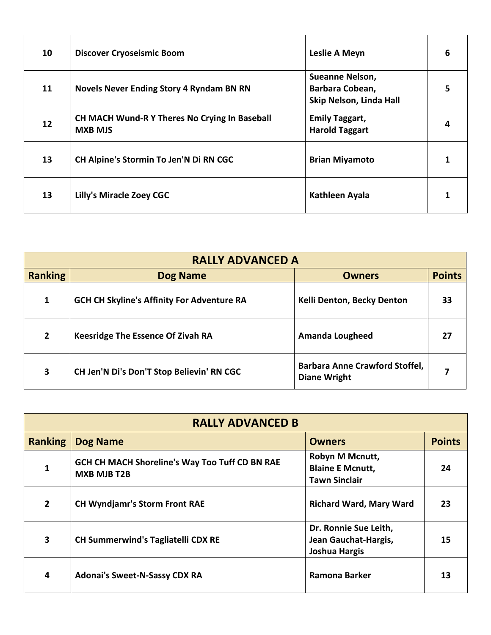| 10 | <b>Discover Cryoseismic Boom</b>                                       | Leslie A Meyn                                                        | 6 |
|----|------------------------------------------------------------------------|----------------------------------------------------------------------|---|
| 11 | <b>Novels Never Ending Story 4 Ryndam BN RN</b>                        | <b>Sueanne Nelson,</b><br>Barbara Cobean,<br>Skip Nelson, Linda Hall | 5 |
| 12 | <b>CH MACH Wund-R Y Theres No Crying In Baseball</b><br><b>MXB MJS</b> | <b>Emily Taggart,</b><br><b>Harold Taggart</b>                       | 4 |
| 13 | CH Alpine's Stormin To Jen'N Di RN CGC                                 | <b>Brian Miyamoto</b>                                                |   |
| 13 | Lilly's Miracle Zoey CGC                                               | Kathleen Ayala                                                       |   |

| <b>RALLY ADVANCED A</b> |                                                   |                                                              |               |
|-------------------------|---------------------------------------------------|--------------------------------------------------------------|---------------|
| <b>Ranking</b>          | <b>Dog Name</b>                                   | <b>Owners</b>                                                | <b>Points</b> |
| 1                       | <b>GCH CH Skyline's Affinity For Adventure RA</b> | Kelli Denton, Becky Denton                                   | 33            |
| $\overline{2}$          | <b>Keesridge The Essence Of Zivah RA</b>          | <b>Amanda Lougheed</b>                                       | 27            |
| 3                       | CH Jen'N Di's Don'T Stop Believin' RN CGC         | <b>Barbara Anne Crawford Stoffel,</b><br><b>Diane Wright</b> |               |

| <b>RALLY ADVANCED B</b> |                                                                             |                                                                       |               |
|-------------------------|-----------------------------------------------------------------------------|-----------------------------------------------------------------------|---------------|
| <b>Ranking</b>          | <b>Dog Name</b>                                                             | <b>Owners</b>                                                         | <b>Points</b> |
| 1                       | <b>GCH CH MACH Shoreline's Way Too Tuff CD BN RAE</b><br><b>MXB MJB T2B</b> | Robyn M Mcnutt,<br><b>Blaine E Mcnutt,</b><br><b>Tawn Sinclair</b>    | 24            |
| $\overline{2}$          | <b>CH Wyndjamr's Storm Front RAE</b>                                        | <b>Richard Ward, Mary Ward</b>                                        | 23            |
| 3                       | <b>CH Summerwind's Tagliatelli CDX RE</b>                                   | Dr. Ronnie Sue Leith,<br>Jean Gauchat-Hargis,<br><b>Joshua Hargis</b> | 15            |
| 4                       | <b>Adonai's Sweet-N-Sassy CDX RA</b>                                        | Ramona Barker                                                         | 13            |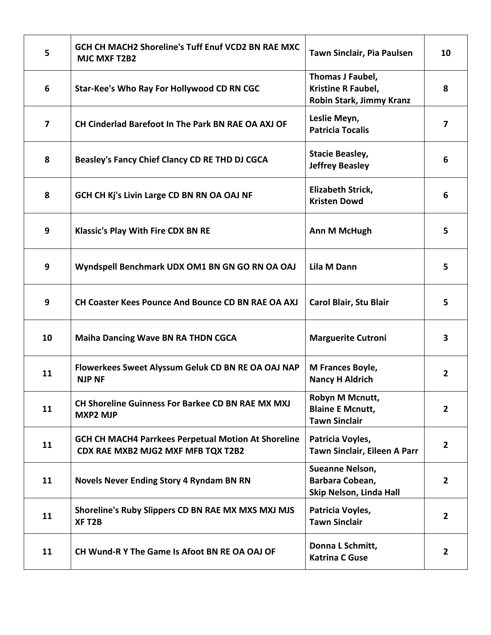| 5              | GCH CH MACH2 Shoreline's Tuff Enuf VCD2 BN RAE MXC<br><b>MJC MXF T2B2</b>                        | Tawn Sinclair, Pia Paulsen                                         | 10                      |
|----------------|--------------------------------------------------------------------------------------------------|--------------------------------------------------------------------|-------------------------|
| 6              | Star-Kee's Who Ray For Hollywood CD RN CGC                                                       | Thomas J Faubel,<br>Kristine R Faubel,<br>Robin Stark, Jimmy Kranz | 8                       |
| $\overline{7}$ | CH Cinderlad Barefoot In The Park BN RAE OA AXJ OF                                               | Leslie Meyn,<br><b>Patricia Tocalis</b>                            | 7                       |
| 8              | Beasley's Fancy Chief Clancy CD RE THD DJ CGCA                                                   | <b>Stacie Beasley,</b><br><b>Jeffrey Beasley</b>                   | 6                       |
| 8              | GCH CH Kj's Livin Large CD BN RN OA OAJ NF                                                       | <b>Elizabeth Strick,</b><br><b>Kristen Dowd</b>                    | 6                       |
| 9              | <b>Klassic's Play With Fire CDX BN RE</b>                                                        | <b>Ann M McHugh</b>                                                | 5                       |
| 9              | Wyndspell Benchmark UDX OM1 BN GN GO RN OA OAJ                                                   | <b>Lila M Dann</b>                                                 | 5                       |
| 9              | <b>CH Coaster Kees Pounce And Bounce CD BN RAE OA AXJ</b>                                        | Carol Blair, Stu Blair                                             | 5.                      |
| 10             | <b>Maiha Dancing Wave BN RA THDN CGCA</b>                                                        | <b>Marguerite Cutroni</b>                                          | $\overline{\mathbf{3}}$ |
| 11             | Flowerkees Sweet Alyssum Geluk CD BN RE OA OAJ NAP<br><b>NJP NF</b>                              | M Frances Boyle,<br><b>Nancy H Aldrich</b>                         | 2                       |
| 11             | CH Shoreline Guinness For Barkee CD BN RAE MX MXJ<br><b>MXP2 MJP</b>                             | Robyn M Mcnutt,<br><b>Blaine E Mcnutt,</b><br><b>Tawn Sinclair</b> | $\overline{2}$          |
| 11             | <b>GCH CH MACH4 Parrkees Perpetual Motion At Shoreline</b><br>CDX RAE MXB2 MJG2 MXF MFB TQX T2B2 | Patricia Voyles,<br>Tawn Sinclair, Eileen A Parr                   | $\overline{2}$          |
| 11             | <b>Novels Never Ending Story 4 Ryndam BN RN</b>                                                  | Sueanne Nelson,<br>Barbara Cobean,<br>Skip Nelson, Linda Hall      | $\overline{2}$          |
| 11             | Shoreline's Ruby Slippers CD BN RAE MX MXS MXJ MJS<br>XF T2B                                     | Patricia Voyles,<br><b>Tawn Sinclair</b>                           | $\overline{2}$          |
| 11             | CH Wund-R Y The Game Is Afoot BN RE OA OAJ OF                                                    | Donna L Schmitt,<br><b>Katrina C Guse</b>                          | $\overline{2}$          |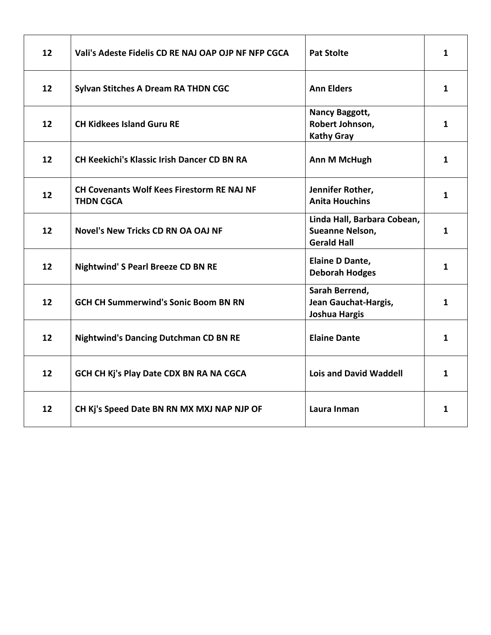| 12 | Vali's Adeste Fidelis CD RE NAJ OAP OJP NF NFP CGCA                   | <b>Pat Stolte</b>                                                    | 1            |
|----|-----------------------------------------------------------------------|----------------------------------------------------------------------|--------------|
| 12 | Sylvan Stitches A Dream RA THDN CGC                                   | <b>Ann Elders</b>                                                    | 1            |
| 12 | <b>CH Kidkees Island Guru RE</b>                                      | Nancy Baggott,<br>Robert Johnson,<br><b>Kathy Gray</b>               | $\mathbf{1}$ |
| 12 | <b>CH Keekichi's Klassic Irish Dancer CD BN RA</b>                    | Ann M McHugh                                                         | 1            |
| 12 | <b>CH Covenants Wolf Kees Firestorm RE NAJ NF</b><br><b>THDN CGCA</b> | Jennifer Rother,<br><b>Anita Houchins</b>                            | $\mathbf{1}$ |
| 12 | <b>Novel's New Tricks CD RN OA OAJ NF</b>                             | Linda Hall, Barbara Cobean,<br>Sueanne Nelson,<br><b>Gerald Hall</b> | 1            |
| 12 | <b>Nightwind' S Pearl Breeze CD BN RE</b>                             | <b>Elaine D Dante,</b><br><b>Deborah Hodges</b>                      | 1            |
| 12 | <b>GCH CH Summerwind's Sonic Boom BN RN</b>                           | Sarah Berrend,<br>Jean Gauchat-Hargis,<br><b>Joshua Hargis</b>       | 1            |
| 12 | <b>Nightwind's Dancing Dutchman CD BN RE</b>                          | <b>Elaine Dante</b>                                                  | 1            |
| 12 | GCH CH Kj's Play Date CDX BN RA NA CGCA                               | <b>Lois and David Waddell</b>                                        | 1            |
| 12 | CH Kj's Speed Date BN RN MX MXJ NAP NJP OF                            | Laura Inman                                                          | 1            |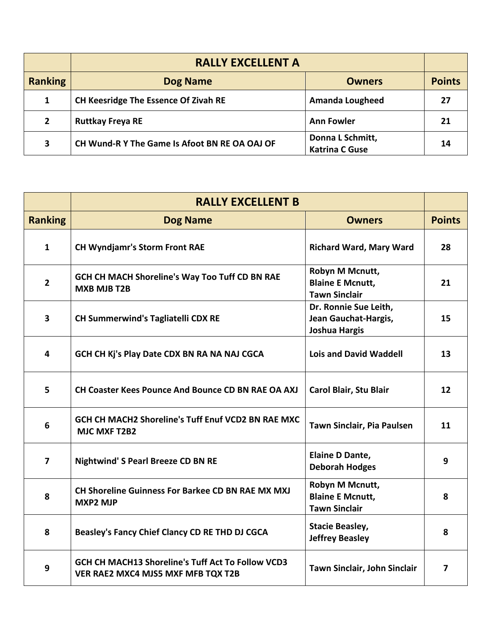|                | <b>RALLY EXCELLENT A</b>                      |                                           |               |
|----------------|-----------------------------------------------|-------------------------------------------|---------------|
| <b>Ranking</b> | Dog Name                                      | <b>Owners</b>                             | <b>Points</b> |
| 1              | <b>CH Keesridge The Essence Of Zivah RE</b>   | <b>Amanda Lougheed</b>                    | 27            |
|                | <b>Ruttkay Freya RE</b>                       | <b>Ann Fowler</b>                         | 21            |
| 3              | CH Wund-R Y The Game Is Afoot BN RE OA OAJ OF | Donna L Schmitt,<br><b>Katrina C Guse</b> | 14            |

|                         | <b>RALLY EXCELLENT B</b>                                                                |                                                                       |               |
|-------------------------|-----------------------------------------------------------------------------------------|-----------------------------------------------------------------------|---------------|
| <b>Ranking</b>          | <b>Dog Name</b>                                                                         | <b>Owners</b>                                                         | <b>Points</b> |
| $\mathbf{1}$            | <b>CH Wyndjamr's Storm Front RAE</b>                                                    | <b>Richard Ward, Mary Ward</b>                                        | 28            |
| $\overline{2}$          | GCH CH MACH Shoreline's Way Too Tuff CD BN RAE<br><b>MXB MJB T2B</b>                    | Robyn M Mcnutt,<br><b>Blaine E Mcnutt,</b><br><b>Tawn Sinclair</b>    | 21            |
| $\overline{\mathbf{3}}$ | <b>CH Summerwind's Tagliatelli CDX RE</b>                                               | Dr. Ronnie Sue Leith,<br>Jean Gauchat-Hargis,<br><b>Joshua Hargis</b> | 15            |
| 4                       | GCH CH Kj's Play Date CDX BN RA NA NAJ CGCA                                             | <b>Lois and David Waddell</b>                                         | 13            |
| 5                       | <b>CH Coaster Kees Pounce And Bounce CD BN RAE OA AXJ</b>                               | Carol Blair, Stu Blair                                                | 12            |
| 6                       | GCH CH MACH2 Shoreline's Tuff Enuf VCD2 BN RAE MXC<br><b>MJC MXF T2B2</b>               | Tawn Sinclair, Pia Paulsen                                            | 11            |
| $\overline{\mathbf{z}}$ | <b>Nightwind' S Pearl Breeze CD BN RE</b>                                               | <b>Elaine D Dante,</b><br><b>Deborah Hodges</b>                       | 9             |
| 8                       | <b>CH Shoreline Guinness For Barkee CD BN RAE MX MXJ</b><br><b>MXP2 MJP</b>             | Robyn M Mcnutt,<br><b>Blaine E Mcnutt,</b><br><b>Tawn Sinclair</b>    | 8             |
| 8                       | Beasley's Fancy Chief Clancy CD RE THD DJ CGCA                                          | <b>Stacie Beasley,</b><br><b>Jeffrey Beasley</b>                      | 8             |
| 9                       | GCH CH MACH13 Shoreline's Tuff Act To Follow VCD3<br>VER RAE2 MXC4 MJS5 MXF MFB TQX T2B | Tawn Sinclair, John Sinclair                                          | 7             |